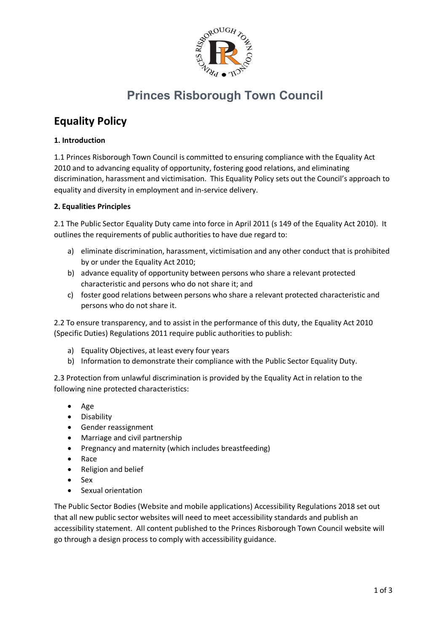

# **Princes Risborough Town Council**

# **Equality Policy**

### **1. Introduction**

1.1 Princes Risborough Town Council is committed to ensuring compliance with the Equality Act 2010 and to advancing equality of opportunity, fostering good relations, and eliminating discrimination, harassment and victimisation. This Equality Policy sets out the Council's approach to equality and diversity in employment and in-service delivery.

#### **2. Equalities Principles**

2.1 The Public Sector Equality Duty came into force in April 2011 (s 149 of the Equality Act 2010). It outlines the requirements of public authorities to have due regard to:

- a) eliminate discrimination, harassment, victimisation and any other conduct that is prohibited by or under the Equality Act 2010;
- b) advance equality of opportunity between persons who share a relevant protected characteristic and persons who do not share it; and
- c) foster good relations between persons who share a relevant protected characteristic and persons who do not share it.

2.2 To ensure transparency, and to assist in the performance of this duty, the Equality Act 2010 (Specific Duties) Regulations 2011 require public authorities to publish:

- a) Equality Objectives, at least every four years
- b) Information to demonstrate their compliance with the Public Sector Equality Duty.

2.3 Protection from unlawful discrimination is provided by the Equality Act in relation to the following nine protected characteristics:

- Age
- Disability
- Gender reassignment
- Marriage and civil partnership
- Pregnancy and maternity (which includes breastfeeding)
- Race
- Religion and belief
- Sex
- Sexual orientation

The Public Sector Bodies (Website and mobile applications) Accessibility Regulations 2018 set out that all new public sector websites will need to meet accessibility standards and publish an accessibility statement. All content published to the Princes Risborough Town Council website will go through a design process to comply with accessibility guidance.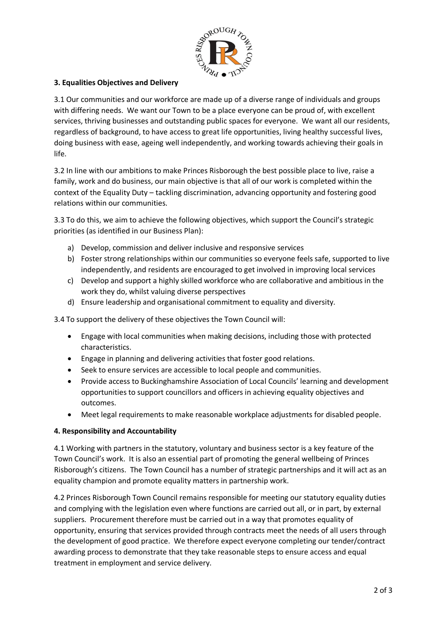

## **3. Equalities Objectives and Delivery**

3.1 Our communities and our workforce are made up of a diverse range of individuals and groups with differing needs. We want our Town to be a place everyone can be proud of, with excellent services, thriving businesses and outstanding public spaces for everyone. We want all our residents, regardless of background, to have access to great life opportunities, living healthy successful lives, doing business with ease, ageing well independently, and working towards achieving their goals in life.

3.2 In line with our ambitions to make Princes Risborough the best possible place to live, raise a family, work and do business, our main objective is that all of our work is completed within the context of the Equality Duty – tackling discrimination, advancing opportunity and fostering good relations within our communities.

3.3 To do this, we aim to achieve the following objectives, which support the Council's strategic priorities (as identified in our Business Plan):

- a) Develop, commission and deliver inclusive and responsive services
- b) Foster strong relationships within our communities so everyone feels safe, supported to live independently, and residents are encouraged to get involved in improving local services
- c) Develop and support a highly skilled workforce who are collaborative and ambitious in the work they do, whilst valuing diverse perspectives
- d) Ensure leadership and organisational commitment to equality and diversity.

3.4 To support the delivery of these objectives the Town Council will:

- Engage with local communities when making decisions, including those with protected characteristics.
- Engage in planning and delivering activities that foster good relations.
- Seek to ensure services are accessible to local people and communities.
- Provide access to Buckinghamshire Association of Local Councils' learning and development opportunities to support councillors and officers in achieving equality objectives and outcomes.
- Meet legal requirements to make reasonable workplace adjustments for disabled people.

#### **4. Responsibility and Accountability**

4.1 Working with partners in the statutory, voluntary and business sector is a key feature of the Town Council's work. It is also an essential part of promoting the general wellbeing of Princes Risborough's citizens. The Town Council has a number of strategic partnerships and it will act as an equality champion and promote equality matters in partnership work.

4.2 Princes Risborough Town Council remains responsible for meeting our statutory equality duties and complying with the legislation even where functions are carried out all, or in part, by external suppliers. Procurement therefore must be carried out in a way that promotes equality of opportunity, ensuring that services provided through contracts meet the needs of all users through the development of good practice. We therefore expect everyone completing our tender/contract awarding process to demonstrate that they take reasonable steps to ensure access and equal treatment in employment and service delivery.